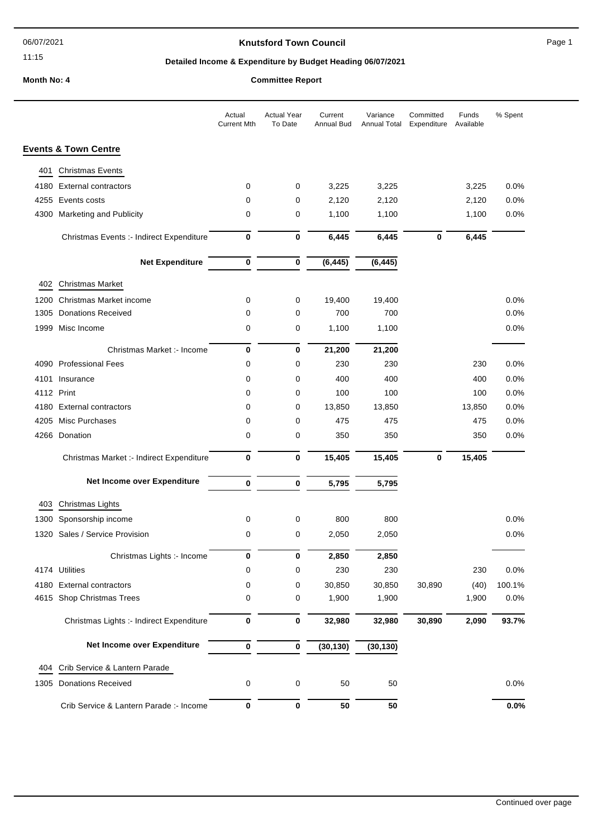#### 11:15

## **Knutsford Town Council Connect Council** Page 1

## **Detailed Income & Expenditure by Budget Heading 06/07/2021**

# **Month No: 4 Committee Report**

|      |                                          | Actual<br><b>Current Mth</b> | <b>Actual Year</b><br>To Date | Current<br>Annual Bud | Variance<br>Annual Total | Committed<br>Expenditure | Funds<br>Available | % Spent |
|------|------------------------------------------|------------------------------|-------------------------------|-----------------------|--------------------------|--------------------------|--------------------|---------|
|      | <b>Events &amp; Town Centre</b>          |                              |                               |                       |                          |                          |                    |         |
| 401  | <b>Christmas Events</b>                  |                              |                               |                       |                          |                          |                    |         |
| 4180 | <b>External contractors</b>              | 0                            | 0                             | 3,225                 | 3,225                    |                          | 3,225              | 0.0%    |
| 4255 | Events costs                             | 0                            | 0                             | 2,120                 | 2,120                    |                          | 2,120              | 0.0%    |
| 4300 | <b>Marketing and Publicity</b>           | 0                            | 0                             | 1,100                 | 1,100                    |                          | 1,100              | 0.0%    |
|      | Christmas Events :- Indirect Expenditure | $\bf{0}$                     | 0                             | 6,445                 | 6,445                    | 0                        | 6,445              |         |
|      | <b>Net Expenditure</b>                   | $\pmb{0}$                    | $\pmb{0}$                     | (6, 445)              | (6, 445)                 |                          |                    |         |
| 402  | Christmas Market                         |                              |                               |                       |                          |                          |                    |         |
| 1200 | Christmas Market income                  | 0                            | 0                             | 19,400                | 19,400                   |                          |                    | 0.0%    |
| 1305 | <b>Donations Received</b>                | 0                            | 0                             | 700                   | 700                      |                          |                    | 0.0%    |
|      | 1999 Misc Income                         | 0                            | 0                             | 1,100                 | 1,100                    |                          |                    | 0.0%    |
|      | Christmas Market :- Income               | 0                            | $\bf{0}$                      | 21,200                | 21,200                   |                          |                    |         |
|      | 4090 Professional Fees                   | 0                            | 0                             | 230                   | 230                      |                          | 230                | 0.0%    |
| 4101 | Insurance                                | 0                            | 0                             | 400                   | 400                      |                          | 400                | 0.0%    |
|      | 4112 Print                               | 0                            | 0                             | 100                   | 100                      |                          | 100                | 0.0%    |
| 4180 | <b>External contractors</b>              | 0                            | 0                             | 13,850                | 13,850                   |                          | 13,850             | 0.0%    |
| 4205 | Misc Purchases                           | 0                            | 0                             | 475                   | 475                      |                          | 475                | 0.0%    |
|      | 4266 Donation                            | 0                            | 0                             | 350                   | 350                      |                          | 350                | 0.0%    |
|      | Christmas Market :- Indirect Expenditure | 0                            | $\bf{0}$                      | 15,405                | 15,405                   | 0                        | 15,405             |         |
|      | Net Income over Expenditure              | $\bf{0}$                     | $\bf{0}$                      | 5,795                 | 5,795                    |                          |                    |         |
| 403  | Christmas Lights                         |                              |                               |                       |                          |                          |                    |         |
| 1300 | Sponsorship income                       | 0                            | 0                             | 800                   | 800                      |                          |                    | 0.0%    |
| 1320 | Sales / Service Provision                | 0                            | 0                             | 2,050                 | 2,050                    |                          |                    | 0.0%    |
|      | Christmas Lights :- Income               | 0                            | 0                             | 2,850                 | 2,850                    |                          |                    |         |
|      | 4174 Utilities                           | 0                            | 0                             | 230                   | 230                      |                          | 230                | 0.0%    |
|      | 4180 External contractors                | 0                            | 0                             | 30,850                | 30,850                   | 30,890                   | (40)               | 100.1%  |
|      | 4615 Shop Christmas Trees                | 0                            | 0                             | 1,900                 | 1,900                    |                          | 1,900              | 0.0%    |
|      | Christmas Lights :- Indirect Expenditure | $\bf{0}$                     | $\pmb{0}$                     | 32,980                | 32,980                   | 30,890                   | 2,090              | 93.7%   |
|      | Net Income over Expenditure              | $\bf{0}$                     | $\mathbf 0$                   | (30, 130)             | (30, 130)                |                          |                    |         |
| 404  | Crib Service & Lantern Parade            |                              |                               |                       |                          |                          |                    |         |
| 1305 | <b>Donations Received</b>                | 0                            | $\boldsymbol{0}$              | 50                    | 50                       |                          |                    | 0.0%    |
|      | Crib Service & Lantern Parade :- Income  | 0                            | $\pmb{0}$                     | 50                    | 50                       |                          |                    | $0.0\%$ |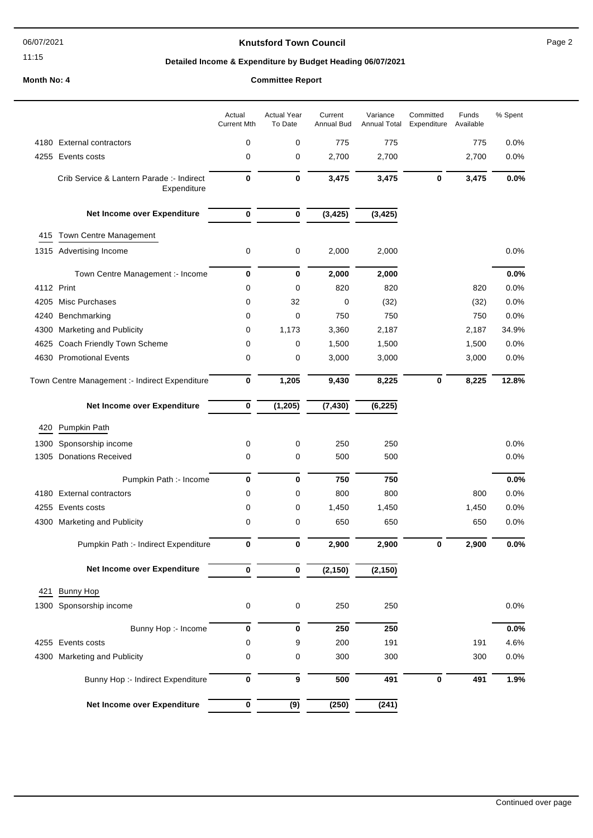06/07/2021

```
11:15
```
## **Knutsford Town Council Example 2** Page 2

## **Detailed Income & Expenditure by Budget Heading 06/07/2021**

#### **Month No: 4**

| <b>Committee Report</b> |
|-------------------------|
|-------------------------|

|      |                                                          | Actual<br><b>Current Mth</b> | <b>Actual Year</b><br>To Date | Current<br>Annual Bud | Variance<br><b>Annual Total</b> | Committed<br>Expenditure | Funds<br>Available | % Spent |
|------|----------------------------------------------------------|------------------------------|-------------------------------|-----------------------|---------------------------------|--------------------------|--------------------|---------|
| 4180 | <b>External contractors</b>                              | 0                            | 0                             | 775                   | 775                             |                          | 775                | 0.0%    |
| 4255 | Events costs                                             | 0                            | 0                             | 2,700                 | 2,700                           |                          | 2,700              | 0.0%    |
|      | Crib Service & Lantern Parade :- Indirect<br>Expenditure | $\bf{0}$                     | 0                             | 3,475                 | 3,475                           | $\bf{0}$                 | 3,475              | 0.0%    |
|      | Net Income over Expenditure                              | 0                            | 0                             | (3, 425)              | (3, 425)                        |                          |                    |         |
| 415  | Town Centre Management                                   |                              |                               |                       |                                 |                          |                    |         |
|      | 1315 Advertising Income                                  | 0                            | 0                             | 2,000                 | 2,000                           |                          |                    | 0.0%    |
|      |                                                          |                              |                               |                       |                                 |                          |                    |         |
|      | Town Centre Management :- Income                         | $\bf{0}$                     | $\bf{0}$                      | 2,000                 | 2,000                           |                          |                    | 0.0%    |
|      | 4112 Print                                               | 0                            | 0                             | 820                   | 820                             |                          | 820                | 0.0%    |
| 4205 | Misc Purchases                                           | 0                            | 32                            | $\mathbf 0$           | (32)                            |                          | (32)               | 0.0%    |
| 4240 | Benchmarking                                             | 0                            | 0                             | 750                   | 750                             |                          | 750                | 0.0%    |
| 4300 | <b>Marketing and Publicity</b>                           | 0                            | 1,173                         | 3,360                 | 2,187                           |                          | 2,187              | 34.9%   |
| 4625 | Coach Friendly Town Scheme                               | 0                            | 0                             | 1,500                 | 1,500                           |                          | 1,500              | 0.0%    |
| 4630 | <b>Promotional Events</b>                                | 0                            | 0                             | 3,000                 | 3,000                           |                          | 3,000              | 0.0%    |
|      | Town Centre Management :- Indirect Expenditure           | $\pmb{0}$                    | 1,205                         | 9,430                 | 8,225                           | $\mathbf 0$              | 8,225              | 12.8%   |
|      | Net Income over Expenditure                              | $\pmb{0}$                    | (1, 205)                      | (7, 430)              | (6, 225)                        |                          |                    |         |
| 420  | Pumpkin Path                                             |                              |                               |                       |                                 |                          |                    |         |
| 1300 | Sponsorship income                                       | 0                            | 0                             | 250                   | 250                             |                          |                    | 0.0%    |
| 1305 | <b>Donations Received</b>                                | 0                            | 0                             | 500                   | 500                             |                          |                    | 0.0%    |
|      |                                                          |                              |                               |                       |                                 |                          |                    |         |
|      | Pumpkin Path :- Income                                   | $\bf{0}$                     | $\bf{0}$                      | 750                   | 750                             |                          |                    | 0.0%    |
|      | 4180 External contractors                                | 0                            | 0                             | 800                   | 800                             |                          | 800                | 0.0%    |
| 4255 | Events costs                                             | 0                            | 0                             | 1,450                 | 1,450                           |                          | 1,450              | 0.0%    |
|      | 4300 Marketing and Publicity                             | 0                            | 0                             | 650                   | 650                             |                          | 650                | 0.0%    |
|      | Pumpkin Path :- Indirect Expenditure                     | 0                            | 0                             | 2,900                 | 2,900                           | 0                        | 2,900              | 0.0%    |
|      | Net Income over Expenditure                              | 0                            | 0                             | (2, 150)              | (2, 150)                        |                          |                    |         |
| 421  | <b>Bunny Hop</b>                                         |                              |                               |                       |                                 |                          |                    |         |
|      | 1300 Sponsorship income                                  | 0                            | 0                             | 250                   | 250                             |                          |                    | 0.0%    |
|      |                                                          |                              |                               |                       |                                 |                          |                    |         |
|      | Bunny Hop :- Income                                      | $\pmb{0}$                    | $\mathbf 0$                   | 250                   | 250                             |                          |                    | 0.0%    |
|      | 4255 Events costs                                        | 0                            | 9                             | 200                   | 191                             |                          | 191                | 4.6%    |
|      | 4300 Marketing and Publicity                             | $\mathbf 0$                  | 0                             | 300                   | 300                             |                          | 300                | 0.0%    |
|      | Bunny Hop :- Indirect Expenditure                        | $\pmb{0}$                    | 9                             | 500                   | 491                             | $\pmb{0}$                | 491                | 1.9%    |
|      | Net Income over Expenditure                              | $\overline{\mathbf{0}}$      | (9)                           | (250)                 | (241)                           |                          |                    |         |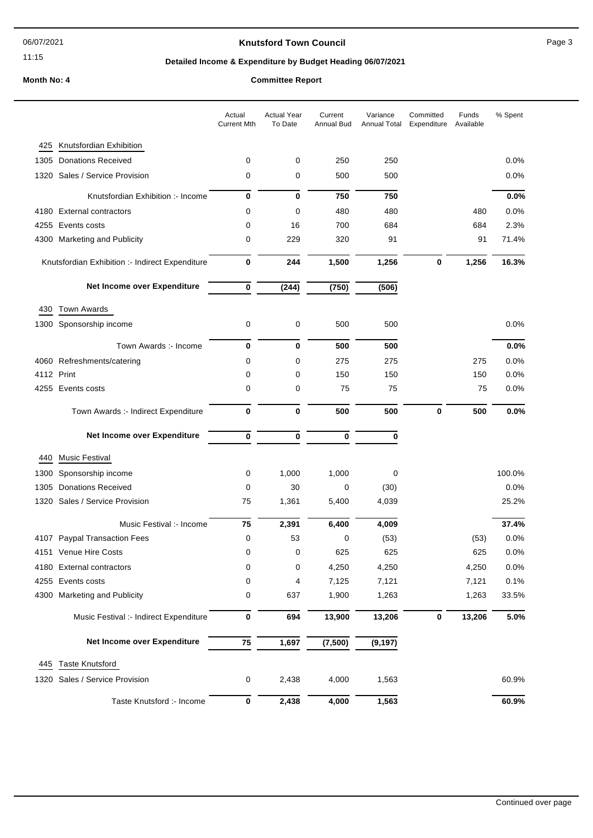#### 11:15

## **Knutsford Town Council Example 20 Apr 20 Apr 20 Apr 20 Apr 20 Apr 20 Apr 20 Apr 20 Apr 20 Apr 20 Apr 20 Apr 20 Apr 20 Apr 20 Apr 20 Apr 20 Apr 20 Apr 20 Apr 20 Apr 20 Apr 20 Apr 20 Apr 20 Apr 20 Apr 20 Apr 20 Apr 20 Apr**

## **Detailed Income & Expenditure by Budget Heading 06/07/2021**

## **Month No: 4 Committee Report**

|            |                                                 | Actual<br><b>Current Mth</b> | <b>Actual Year</b><br>To Date | Current<br>Annual Bud | Variance<br>Annual Total | Committed<br>Expenditure | Funds<br>Available | % Spent |
|------------|-------------------------------------------------|------------------------------|-------------------------------|-----------------------|--------------------------|--------------------------|--------------------|---------|
| 425        | Knutsfordian Exhibition                         |                              |                               |                       |                          |                          |                    |         |
| 1305       | <b>Donations Received</b>                       | 0                            | 0                             | 250                   | 250                      |                          |                    | 0.0%    |
|            | 1320 Sales / Service Provision                  | 0                            | 0                             | 500                   | 500                      |                          |                    | 0.0%    |
|            | Knutsfordian Exhibition :- Income               | 0                            | 0                             | 750                   | 750                      |                          |                    | 0.0%    |
|            | 4180 External contractors                       | 0                            | 0                             | 480                   | 480                      |                          | 480                | 0.0%    |
|            | 4255 Events costs                               | 0                            | 16                            | 700                   | 684                      |                          | 684                | 2.3%    |
|            | 4300 Marketing and Publicity                    | 0                            | 229                           | 320                   | 91                       |                          | 91                 | 71.4%   |
|            | Knutsfordian Exhibition :- Indirect Expenditure | 0                            | 244                           | 1,500                 | 1,256                    | 0                        | 1,256              | 16.3%   |
|            | Net Income over Expenditure                     | 0                            | (244)                         | (750)                 | (506)                    |                          |                    |         |
| 430        | <b>Town Awards</b>                              |                              |                               |                       |                          |                          |                    |         |
|            | 1300 Sponsorship income                         | 0                            | 0                             | 500                   | 500                      |                          |                    | 0.0%    |
|            | Town Awards :- Income                           | 0                            | 0                             | 500                   | 500                      |                          |                    | 0.0%    |
|            | 4060 Refreshments/catering                      | 0                            | 0                             | 275                   | 275                      |                          | 275                | 0.0%    |
| 4112 Print |                                                 | 0                            | 0                             | 150                   | 150                      |                          | 150                | 0.0%    |
|            | 4255 Events costs                               | 0                            | 0                             | 75                    | 75                       |                          | 75                 | 0.0%    |
|            | Town Awards :- Indirect Expenditure             | 0                            | 0                             | 500                   | 500                      | $\mathbf 0$              | 500                | 0.0%    |
|            | Net Income over Expenditure                     | 0                            | 0                             | $\bf{0}$              | 0                        |                          |                    |         |
| 440        | <b>Music Festival</b>                           |                              |                               |                       |                          |                          |                    |         |
| 1300       | Sponsorship income                              | 0                            | 1,000                         | 1,000                 | 0                        |                          |                    | 100.0%  |
| 1305       | <b>Donations Received</b>                       | 0                            | 30                            | $\mathbf 0$           | (30)                     |                          |                    | 0.0%    |
|            | 1320 Sales / Service Provision                  | 75                           | 1,361                         | 5,400                 | 4,039                    |                          |                    | 25.2%   |
|            | Music Festival :- Income                        | 75                           | 2,391                         | 6,400                 | 4,009                    |                          |                    | 37.4%   |
|            | 4107 Paypal Transaction Fees                    | 0                            | 53                            | 0                     | (53)                     |                          | (53)               | 0.0%    |
|            | 4151 Venue Hire Costs                           | 0                            | 0                             | 625                   | 625                      |                          | 625                | 0.0%    |
|            | 4180 External contractors                       | 0                            | 0                             | 4,250                 | 4,250                    |                          | 4,250              | 0.0%    |
| 4255       | Events costs                                    | 0                            | 4                             | 7,125                 | 7,121                    |                          | 7,121              | 0.1%    |
|            | 4300 Marketing and Publicity                    | 0                            | 637                           | 1,900                 | 1,263                    |                          | 1,263              | 33.5%   |
|            | Music Festival :- Indirect Expenditure          | $\pmb{0}$                    | 694                           | 13,900                | 13,206                   | $\pmb{0}$                | 13,206             | 5.0%    |
|            | Net Income over Expenditure                     | 75                           | 1,697                         | (7,500)               | (9, 197)                 |                          |                    |         |
| 445        | <b>Taste Knutsford</b>                          |                              |                               |                       |                          |                          |                    |         |
|            | 1320 Sales / Service Provision                  | 0                            | 2,438                         | 4,000                 | 1,563                    |                          |                    | 60.9%   |
|            | Taste Knutsford :- Income                       | $\pmb{0}$                    | 2,438                         | 4,000                 | 1,563                    |                          |                    | 60.9%   |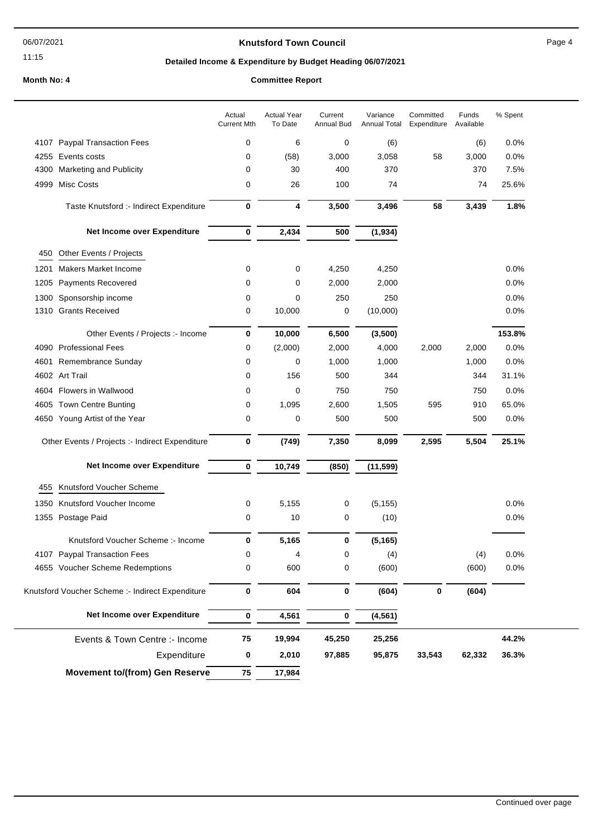#### 11:15

#### **Knutsford Town Council Council Page 4**

#### **Detailed Income & Expenditure by Budget Heading 06/07/2021**

**Month No: 4 Committee Report**

#### Actual Year To Date Current Annual Bud Variance Annual Total Committed Expenditure Funds Available Actual Current Mth % Spent 4107 Paypal Transaction Fees 0 6 0 (6) (6) 0.0% 4255 Events costs 0 (58) 3,000 3,058 58 3,000 0.0% 4300 Marketing and Publicity 0 30 400 370 370 7.5% 4999 Misc Costs 0 26 100 74 74 25.6% Taste Knutsford :- Indirect Expenditure **0 4 3,500 3,496 58 3,439 1.8% Net Income over Expenditure 0 2,434 500 (1,934)** 450 Other Events / Projects 1201 Makers Market Income 0 0 4,250 4,250 0.0% 1205 Payments Recovered 2.000 0 2,000 2,000 0.0% 1300 Sponsorship income 0 0 250 250 0.0% 1310 Grants Received **0** 10,000 0 (10,000) 0.0% 0.0% Other Events / Projects :- Income **0 10,000 6,500 (3,500) 153.8%** 4090 Professional Fees 0 (2,000) 2,000 4,000 2,000 2,000 0.0% 4601 Remembrance Sunday 0 0 1,000 1,000 1,000 0.0% 4602 Art Trail 0 156 500 344 344 31.1% 4604 Flowers in Wallwood 0 0 750 750 750 0.0% 4605 Town Centre Bunting 0 1,095 2,600 1,505 595 910 65.0% 4650 Young Artist of the Year 0 0 500 500 500 0.0% Other Events / Projects :- Indirect Expenditure **0 (749) 7,350 8,099 2,595 5,504 25.1% Net Income over Expenditure 0 10,749 (850) (11,599)** 455 Knutsford Voucher Scheme 1350 Knutsford Voucher Income 0 5,155 0 (5,155) 0.0% 1355 Postage Paid **1355** Postage Paid **1355** Postage Paid **1355** Postage Paid **14** O.0% Knutsford Voucher Scheme :- Income **0 5,165 0 (5,165)** 4107 Paypal Transaction Fees 0 4 0 (4) (4) 0.0% 4655 Voucher Scheme Redemptions 0 600 0 (600) (600) 0.0% Knutsford Voucher Scheme :- Indirect Expenditure **0 604 0 (604) 0 (604) Net Income over Expenditure 0 4,561 0 (4,561) 0 2,010 97,885 75 19,994 45,250 25,256 95,875 75 17,984** Events & Town Centre :- Income **Movement to/(from) Gen Reserve** Expenditure **33,543 62,332 44.2% 36.3%**